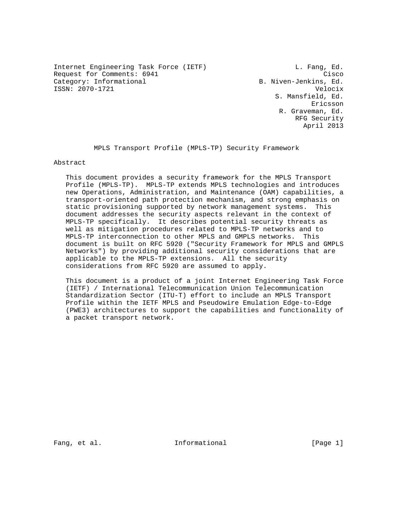Internet Engineering Task Force (IETF) and L. Fang, Ed. Request for Comments: 6941 Cisco Category: Informational and B. Niven-Jenkins, Ed. ISSN: 2070-1721 Velocix

 S. Mansfield, Ed. Ericsson R. Graveman, Ed. RFG Security April 2013

MPLS Transport Profile (MPLS-TP) Security Framework

Abstract

 This document provides a security framework for the MPLS Transport Profile (MPLS-TP). MPLS-TP extends MPLS technologies and introduces new Operations, Administration, and Maintenance (OAM) capabilities, a transport-oriented path protection mechanism, and strong emphasis on static provisioning supported by network management systems. This document addresses the security aspects relevant in the context of MPLS-TP specifically. It describes potential security threats as well as mitigation procedures related to MPLS-TP networks and to MPLS-TP interconnection to other MPLS and GMPLS networks. This document is built on RFC 5920 ("Security Framework for MPLS and GMPLS Networks") by providing additional security considerations that are applicable to the MPLS-TP extensions. All the security considerations from RFC 5920 are assumed to apply.

 This document is a product of a joint Internet Engineering Task Force (IETF) / International Telecommunication Union Telecommunication Standardization Sector (ITU-T) effort to include an MPLS Transport Profile within the IETF MPLS and Pseudowire Emulation Edge-to-Edge (PWE3) architectures to support the capabilities and functionality of a packet transport network.

Fang, et al.  $\qquad \qquad$  Informational  $\qquad \qquad$  [Page 1]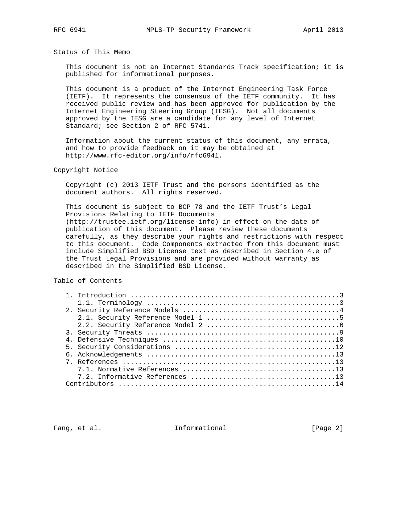Status of This Memo

 This document is not an Internet Standards Track specification; it is published for informational purposes.

 This document is a product of the Internet Engineering Task Force (IETF). It represents the consensus of the IETF community. It has received public review and has been approved for publication by the Internet Engineering Steering Group (IESG). Not all documents approved by the IESG are a candidate for any level of Internet Standard; see Section 2 of RFC 5741.

 Information about the current status of this document, any errata, and how to provide feedback on it may be obtained at http://www.rfc-editor.org/info/rfc6941.

Copyright Notice

 Copyright (c) 2013 IETF Trust and the persons identified as the document authors. All rights reserved.

 This document is subject to BCP 78 and the IETF Trust's Legal Provisions Relating to IETF Documents (http://trustee.ietf.org/license-info) in effect on the date of publication of this document. Please review these documents carefully, as they describe your rights and restrictions with respect to this document. Code Components extracted from this document must include Simplified BSD License text as described in Section 4.e of the Trust Legal Provisions and are provided without warranty as described in the Simplified BSD License.

Table of Contents

Fang, et al. 10 Informational 10 [Page 2]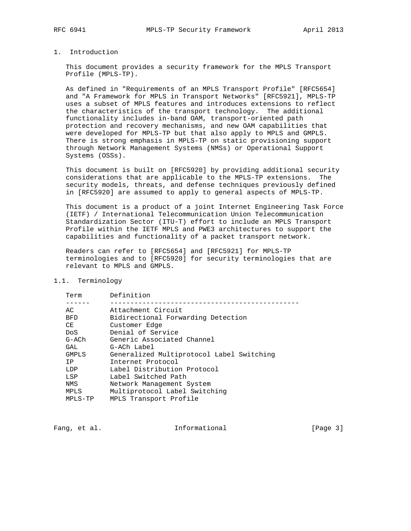### 1. Introduction

 This document provides a security framework for the MPLS Transport Profile (MPLS-TP).

 As defined in "Requirements of an MPLS Transport Profile" [RFC5654] and "A Framework for MPLS in Transport Networks" [RFC5921], MPLS-TP uses a subset of MPLS features and introduces extensions to reflect the characteristics of the transport technology. The additional functionality includes in-band OAM, transport-oriented path protection and recovery mechanisms, and new OAM capabilities that were developed for MPLS-TP but that also apply to MPLS and GMPLS. There is strong emphasis in MPLS-TP on static provisioning support through Network Management Systems (NMSs) or Operational Support Systems (OSSs).

 This document is built on [RFC5920] by providing additional security considerations that are applicable to the MPLS-TP extensions. The security models, threats, and defense techniques previously defined in [RFC5920] are assumed to apply to general aspects of MPLS-TP.

 This document is a product of a joint Internet Engineering Task Force (IETF) / International Telecommunication Union Telecommunication Standardization Sector (ITU-T) effort to include an MPLS Transport Profile within the IETF MPLS and PWE3 architectures to support the capabilities and functionality of a packet transport network.

 Readers can refer to [RFC5654] and [RFC5921] for MPLS-TP terminologies and to [RFC5920] for security terminologies that are relevant to MPLS and GMPLS.

1.1. Terminology

| Term            | Definition                                |
|-----------------|-------------------------------------------|
|                 |                                           |
| AC              | Attachment Circuit                        |
| <b>BFD</b>      | Bidirectional Forwarding Detection        |
| CE              | Customer Edge                             |
| Do <sub>S</sub> | Denial of Service                         |
| G-ACh           | Generic Associated Channel                |
| GAL             | G-ACh Label                               |
| <b>GMPLS</b>    | Generalized Multiprotocol Label Switching |
| T P             | Internet Protocol                         |
| LDP             | Label Distribution Protocol               |
| LSP             | Label Switched Path                       |
| NMS             | Network Management System                 |
| MPLS            | Multiprotocol Label Switching             |
| MPLS-TP         | MPLS Transport Profile                    |
|                 |                                           |

Fang, et al. 10 Informational 10 [Page 3]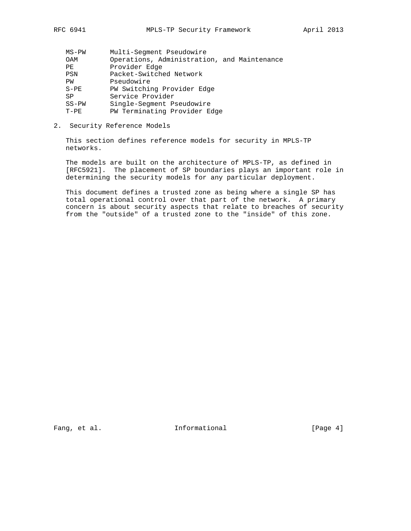| $MS-PW$ | Multi-Seqment Pseudowire                    |
|---------|---------------------------------------------|
| OAM     | Operations, Administration, and Maintenance |
| PE      | Provider Edge                               |
| PSN     | Packet-Switched Network                     |
| PW      | Pseudowire                                  |
| $S-PE$  | PW Switching Provider Edge                  |
| SP      | Service Provider                            |
| $SS-PW$ | Single-Seqment Pseudowire                   |
| $T-PE$  | PW Terminating Provider Edge                |
|         |                                             |

2. Security Reference Models

 This section defines reference models for security in MPLS-TP networks.

 The models are built on the architecture of MPLS-TP, as defined in [RFC5921]. The placement of SP boundaries plays an important role in determining the security models for any particular deployment.

 This document defines a trusted zone as being where a single SP has total operational control over that part of the network. A primary concern is about security aspects that relate to breaches of security from the "outside" of a trusted zone to the "inside" of this zone.

Fang, et al. 10 Informational 10 [Page 4]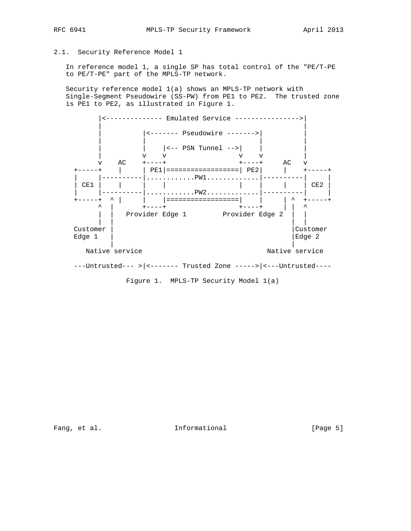# 2.1. Security Reference Model 1

 In reference model 1, a single SP has total control of the "PE/T-PE to PE/T-PE" part of the MPLS-TP network.

 Security reference model 1(a) shows an MPLS-TP network with Single-Segment Pseudowire (SS-PW) from PE1 to PE2. The trusted zone is PE1 to PE2, as illustrated in Figure 1.



Fang, et al. 10 Informational 1999 [Page 5]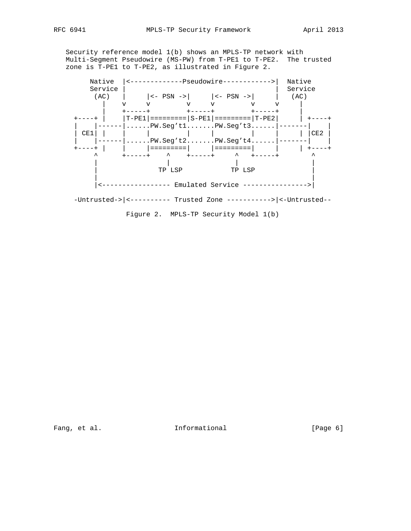Security reference model 1(b) shows an MPLS-TP network with Multi-Segment Pseudowire (MS-PW) from T-PE1 to T-PE2. The trusted zone is T-PE1 to T-PE2, as illustrated in Figure 2.



Fang, et al. 1nformational [Page 6]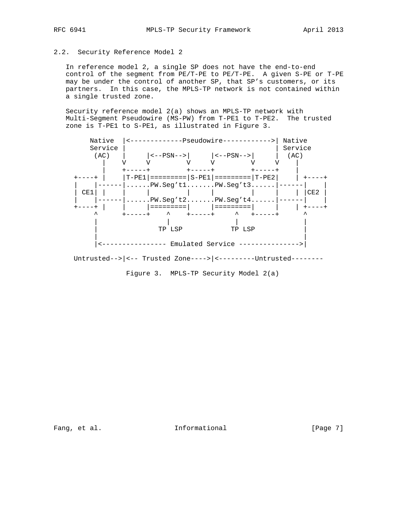# 2.2. Security Reference Model 2

 In reference model 2, a single SP does not have the end-to-end control of the segment from PE/T-PE to PE/T-PE. A given S-PE or T-PE may be under the control of another SP, that SP's customers, or its partners. In this case, the MPLS-TP network is not contained within a single trusted zone.

 Security reference model 2(a) shows an MPLS-TP network with Multi-Segment Pseudowire (MS-PW) from T-PE1 to T-PE2. The trusted zone is T-PE1 to S-PE1, as illustrated in Figure 3.



Figure 3. MPLS-TP Security Model 2(a)

Fang, et al. 10. Informational 1. [Page 7]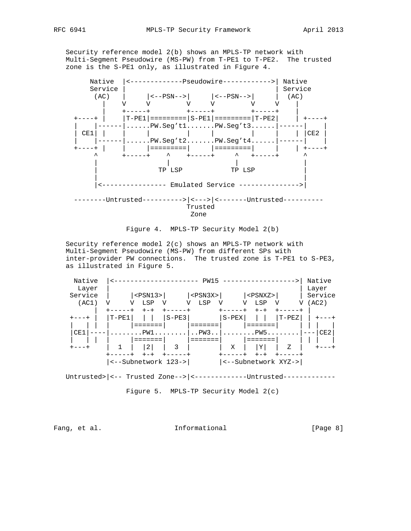Security reference model 2(b) shows an MPLS-TP network with

 Multi-Segment Pseudowire (MS-PW) from T-PE1 to T-PE2. The trusted zone is the S-PE1 only, as illustrated in Figure 4.





 Security reference model 2(c) shows an MPLS-TP network with Multi-Segment Pseudowire (MS-PW) from different SPs with inter-provider PW connections. The trusted zone is T-PE1 to S-PE3, as illustrated in Figure 5.

| Native<br>Layer |         |                     |         | PW15           |         |                     |       | Native<br>Layer |
|-----------------|---------|---------------------|---------|----------------|---------|---------------------|-------|-----------------|
| Service         |         | $<$ PSN $13$ >      |         | $<$ PSN $3X$ > |         | $<$ PSNXZ>          |       | Service         |
| (AC1)           | V       | LSP                 |         | LSP            |         | LSP<br>V            | V     | (AC2)           |
|                 |         |                     |         |                |         |                     |       |                 |
| --+             | $T-PE1$ |                     | $S-PE3$ |                | $S-PEX$ |                     | T-PEZ |                 |
|                 |         |                     |         |                |         |                     |       |                 |
| CE1             |         | PW1                 |         | . . PW3. .     |         | .PW5.               |       | CE2             |
|                 |         |                     |         |                |         |                     |       |                 |
| $+ - - - +$     |         | 2                   | 3       |                | Χ       | Y                   | Z     |                 |
|                 |         |                     |         |                |         |                     |       |                 |
|                 |         | <--Subnetwork 123-> |         |                |         | <--Subnetwork XYZ-> |       |                 |

Untrusted>|<-- Trusted Zone-->|<---------------Untrusted-------------

Figure 5. MPLS-TP Security Model 2(c)

Fang, et al. The Informational Fang, et al.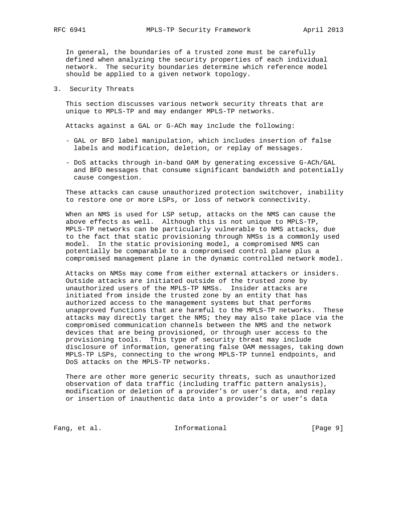In general, the boundaries of a trusted zone must be carefully defined when analyzing the security properties of each individual network. The security boundaries determine which reference model should be applied to a given network topology.

3. Security Threats

 This section discusses various network security threats that are unique to MPLS-TP and may endanger MPLS-TP networks.

Attacks against a GAL or G-ACh may include the following:

- GAL or BFD label manipulation, which includes insertion of false labels and modification, deletion, or replay of messages.
- DoS attacks through in-band OAM by generating excessive G-ACh/GAL and BFD messages that consume significant bandwidth and potentially cause congestion.

 These attacks can cause unauthorized protection switchover, inability to restore one or more LSPs, or loss of network connectivity.

 When an NMS is used for LSP setup, attacks on the NMS can cause the above effects as well. Although this is not unique to MPLS-TP, MPLS-TP networks can be particularly vulnerable to NMS attacks, due to the fact that static provisioning through NMSs is a commonly used model. In the static provisioning model, a compromised NMS can potentially be comparable to a compromised control plane plus a compromised management plane in the dynamic controlled network model.

 Attacks on NMSs may come from either external attackers or insiders. Outside attacks are initiated outside of the trusted zone by unauthorized users of the MPLS-TP NMSs. Insider attacks are initiated from inside the trusted zone by an entity that has authorized access to the management systems but that performs unapproved functions that are harmful to the MPLS-TP networks. These attacks may directly target the NMS; they may also take place via the compromised communication channels between the NMS and the network devices that are being provisioned, or through user access to the provisioning tools. This type of security threat may include disclosure of information, generating false OAM messages, taking down MPLS-TP LSPs, connecting to the wrong MPLS-TP tunnel endpoints, and DoS attacks on the MPLS-TP networks.

 There are other more generic security threats, such as unauthorized observation of data traffic (including traffic pattern analysis), modification or deletion of a provider's or user's data, and replay or insertion of inauthentic data into a provider's or user's data

Fang, et al. 10 Informational 10 [Page 9]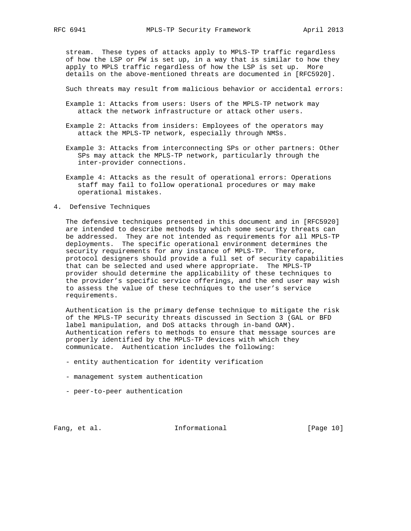stream. These types of attacks apply to MPLS-TP traffic regardless of how the LSP or PW is set up, in a way that is similar to how they apply to MPLS traffic regardless of how the LSP is set up. More details on the above-mentioned threats are documented in [RFC5920].

Such threats may result from malicious behavior or accidental errors:

- Example 1: Attacks from users: Users of the MPLS-TP network may attack the network infrastructure or attack other users.
- Example 2: Attacks from insiders: Employees of the operators may attack the MPLS-TP network, especially through NMSs.
- Example 3: Attacks from interconnecting SPs or other partners: Other SPs may attack the MPLS-TP network, particularly through the inter-provider connections.
- Example 4: Attacks as the result of operational errors: Operations staff may fail to follow operational procedures or may make operational mistakes.
- 4. Defensive Techniques

 The defensive techniques presented in this document and in [RFC5920] are intended to describe methods by which some security threats can be addressed. They are not intended as requirements for all MPLS-TP deployments. The specific operational environment determines the security requirements for any instance of MPLS-TP. Therefore, protocol designers should provide a full set of security capabilities that can be selected and used where appropriate. The MPLS-TP provider should determine the applicability of these techniques to the provider's specific service offerings, and the end user may wish to assess the value of these techniques to the user's service requirements.

 Authentication is the primary defense technique to mitigate the risk of the MPLS-TP security threats discussed in Section 3 (GAL or BFD label manipulation, and DoS attacks through in-band OAM). Authentication refers to methods to ensure that message sources are properly identified by the MPLS-TP devices with which they communicate. Authentication includes the following:

- entity authentication for identity verification
- management system authentication
- peer-to-peer authentication

Fang, et al. 10 Informational [Page 10]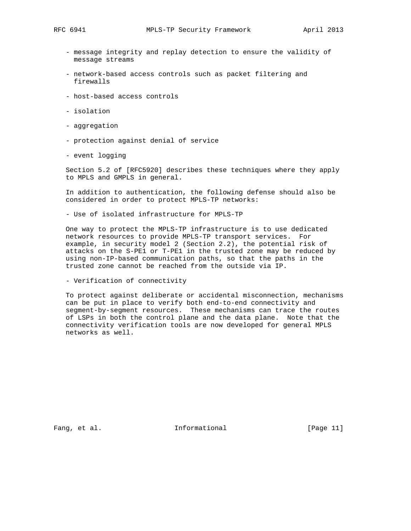- message integrity and replay detection to ensure the validity of message streams
- network-based access controls such as packet filtering and firewalls
- host-based access controls
- isolation
- aggregation
- protection against denial of service
- event logging

 Section 5.2 of [RFC5920] describes these techniques where they apply to MPLS and GMPLS in general.

 In addition to authentication, the following defense should also be considered in order to protect MPLS-TP networks:

- Use of isolated infrastructure for MPLS-TP

 One way to protect the MPLS-TP infrastructure is to use dedicated network resources to provide MPLS-TP transport services. For example, in security model 2 (Section 2.2), the potential risk of attacks on the S-PE1 or T-PE1 in the trusted zone may be reduced by using non-IP-based communication paths, so that the paths in the trusted zone cannot be reached from the outside via IP.

- Verification of connectivity

 To protect against deliberate or accidental misconnection, mechanisms can be put in place to verify both end-to-end connectivity and segment-by-segment resources. These mechanisms can trace the routes of LSPs in both the control plane and the data plane. Note that the connectivity verification tools are now developed for general MPLS networks as well.

Fang, et al. 10. Informational [Page 11]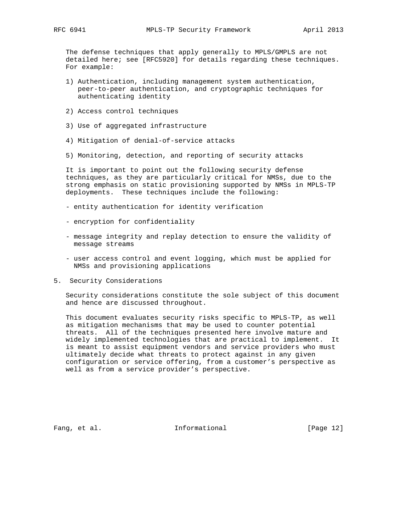The defense techniques that apply generally to MPLS/GMPLS are not detailed here; see [RFC5920] for details regarding these techniques. For example:

- 1) Authentication, including management system authentication, peer-to-peer authentication, and cryptographic techniques for authenticating identity
- 2) Access control techniques
- 3) Use of aggregated infrastructure
- 4) Mitigation of denial-of-service attacks
- 5) Monitoring, detection, and reporting of security attacks

 It is important to point out the following security defense techniques, as they are particularly critical for NMSs, due to the strong emphasis on static provisioning supported by NMSs in MPLS-TP deployments. These techniques include the following:

- entity authentication for identity verification
- encryption for confidentiality
- message integrity and replay detection to ensure the validity of message streams
- user access control and event logging, which must be applied for NMSs and provisioning applications
- 5. Security Considerations

 Security considerations constitute the sole subject of this document and hence are discussed throughout.

 This document evaluates security risks specific to MPLS-TP, as well as mitigation mechanisms that may be used to counter potential threats. All of the techniques presented here involve mature and widely implemented technologies that are practical to implement. It is meant to assist equipment vendors and service providers who must ultimately decide what threats to protect against in any given configuration or service offering, from a customer's perspective as well as from a service provider's perspective.

Fang, et al. The Informational Fang, et al.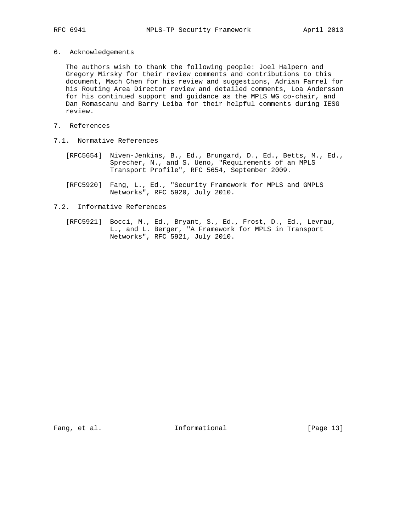6. Acknowledgements

 The authors wish to thank the following people: Joel Halpern and Gregory Mirsky for their review comments and contributions to this document, Mach Chen for his review and suggestions, Adrian Farrel for his Routing Area Director review and detailed comments, Loa Andersson for his continued support and guidance as the MPLS WG co-chair, and Dan Romascanu and Barry Leiba for their helpful comments during IESG review.

- 7. References
- 7.1. Normative References
	- [RFC5654] Niven-Jenkins, B., Ed., Brungard, D., Ed., Betts, M., Ed., Sprecher, N., and S. Ueno, "Requirements of an MPLS Transport Profile", RFC 5654, September 2009.
	- [RFC5920] Fang, L., Ed., "Security Framework for MPLS and GMPLS Networks", RFC 5920, July 2010.
- 7.2. Informative References
	- [RFC5921] Bocci, M., Ed., Bryant, S., Ed., Frost, D., Ed., Levrau, L., and L. Berger, "A Framework for MPLS in Transport Networks", RFC 5921, July 2010.

Fang, et al. 10. Informational [Page 13]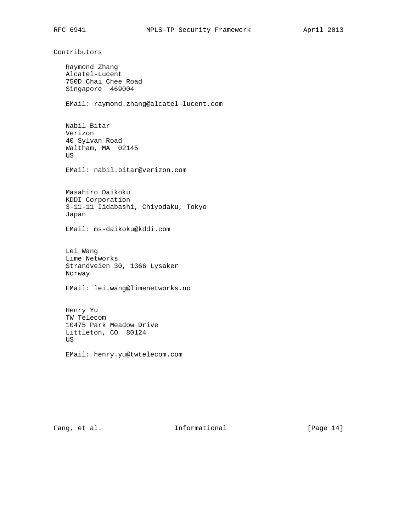Contributors

 Raymond Zhang Alcatel-Lucent 750D Chai Chee Road Singapore 469004 EMail: raymond.zhang@alcatel-lucent.com Nabil Bitar Verizon 40 Sylvan Road Waltham, MA 02145 US EMail: nabil.bitar@verizon.com Masahiro Daikoku KDDI Corporation 3-11-11 Iidabashi, Chiyodaku, Tokyo Japan EMail: ms-daikoku@kddi.com Lei Wang Lime Networks Strandveien 30, 1366 Lysaker Norway EMail: lei.wang@limenetworks.no Henry Yu TW Telecom 10475 Park Meadow Drive Littleton, CO 80124 US EMail: henry.yu@twtelecom.com

Fang, et al. 10 Informational [Page 14]